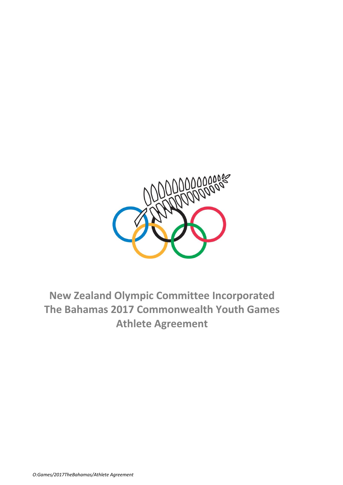

# **New Zealand Olympic Committee Incorporated The Bahamas 2017 Commonwealth Youth Games Athlete Agreement**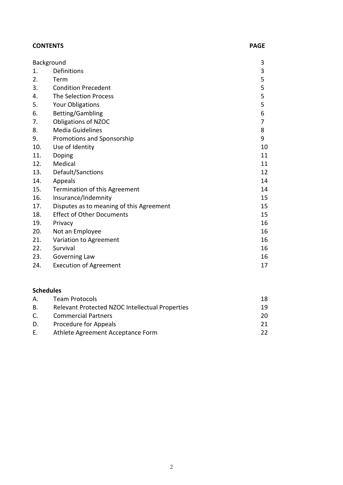| <b>CONTENTS</b> | <b>PAGE</b> |
|-----------------|-------------|
|-----------------|-------------|

| Background |                                          |                |
|------------|------------------------------------------|----------------|
| 1.         | Definitions                              | 3              |
| 2.         | Term                                     | 5              |
| 3.         | <b>Condition Precedent</b>               | 5              |
| 4.         | The Selection Process                    | 5              |
| 5.         | <b>Your Obligations</b>                  | 5              |
| 6.         | Betting/Gambling                         | 6              |
| 7.         | <b>Obligations of NZOC</b>               | $\overline{7}$ |
| 8.         | <b>Media Guidelines</b>                  | 8              |
| 9.         | Promotions and Sponsorship               | 9              |
| 10.        | Use of Identity                          | 10             |
| 11.        | Doping                                   | 11             |
| 12.        | Medical                                  | 11             |
| 13.        | Default/Sanctions                        | 12             |
| 14.        | Appeals                                  | 14             |
| 15.        | Termination of this Agreement            | 14             |
| 16.        | Insurance/Indemnity                      | 15             |
| 17.        | Disputes as to meaning of this Agreement | 15             |
| 18.        | <b>Effect of Other Documents</b>         | 15             |
| 19.        | Privacy                                  | 16             |
| 20.        | Not an Employee                          | 16             |
| 21.        | Variation to Agreement                   | 16             |
| 22.        | Survival                                 | 16             |
| 23.        | Governing Law                            | 16             |
| 24.        | <b>Execution of Agreement</b>            | 17             |

# **Schedules**

| A. | <b>Team Protocols</b>                           | 18. |
|----|-------------------------------------------------|-----|
| B. | Relevant Protected NZOC Intellectual Properties | 19. |
| C. | <b>Commercial Partners</b>                      | 20. |
| D. | Procedure for Appeals                           | 21  |
| E. | Athlete Agreement Acceptance Form               |     |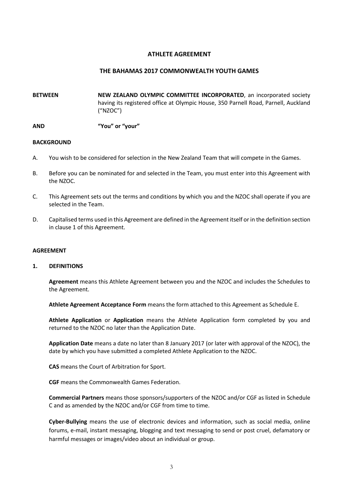#### **ATHLETE AGREEMENT**

#### **THE BAHAMAS 2017 COMMONWEALTH YOUTH GAMES**

**BETWEEN NEW ZEALAND OLYMPIC COMMITTEE INCORPORATED**, an incorporated society having its registered office at Olympic House, 350 Parnell Road, Parnell, Auckland ("NZOC")

**AND "You" or "your"**

#### **BACKGROUND**

- A. You wish to be considered for selection in the New Zealand Team that will compete in the Games.
- B. Before you can be nominated for and selected in the Team, you must enter into this Agreement with the NZOC.
- C. This Agreement sets out the terms and conditions by which you and the NZOC shall operate if you are selected in the Team.
- D. Capitalised terms used in this Agreement are defined in the Agreement itself or in the definition section in clause 1 of this Agreement.

#### **AGREEMENT**

#### **1. DEFINITIONS**

**Agreement** means this Athlete Agreement between you and the NZOC and includes the Schedules to the Agreement.

**Athlete Agreement Acceptance Form** means the form attached to this Agreement as Schedule E.

**Athlete Application** or **Application** means the Athlete Application form completed by you and returned to the NZOC no later than the Application Date.

**Application Date** means a date no later than 8 January 2017 (or later with approval of the NZOC), the date by which you have submitted a completed Athlete Application to the NZOC.

**CAS** means the Court of Arbitration for Sport.

**CGF** means the Commonwealth Games Federation.

**Commercial Partners** means those sponsors/supporters of the NZOC and/or CGF as listed in Schedule C and as amended by the NZOC and/or CGF from time to time.

**Cyber-Bullying** means the use of electronic devices and information, such as social media, online forums, e-mail, instant messaging, blogging and text messaging to send or post cruel, defamatory or harmful messages or images/video about an individual or group.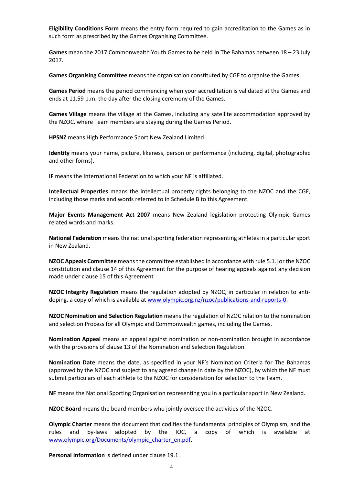**Eligibility Conditions Form** means the entry form required to gain accreditation to the Games as in such form as prescribed by the Games Organising Committee.

**Games** mean the 2017 Commonwealth Youth Games to be held in The Bahamas between 18 – 23 July 2017.

**Games Organising Committee** means the organisation constituted by CGF to organise the Games.

**Games Period** means the period commencing when your accreditation is validated at the Games and ends at 11.59 p.m. the day after the closing ceremony of the Games.

**Games Village** means the village at the Games, including any satellite accommodation approved by the NZOC, where Team members are staying during the Games Period.

**HPSNZ** means High Performance Sport New Zealand Limited.

**Identity** means your name, picture, likeness, person or performance (including, digital, photographic and other forms).

**IF** means the International Federation to which your NF is affiliated.

**Intellectual Properties** means the intellectual property rights belonging to the NZOC and the CGF, including those marks and words referred to in Schedule B to this Agreement.

**Major Events Management Act 2007** means New Zealand legislation protecting Olympic Games related words and marks.

**National Federation** means the national sporting federation representing athletes in a particular sport in New Zealand.

**NZOC Appeals Committee** means the committee established in accordance with rule 5.1.j or the NZOC constitution and clause 14 of this Agreement for the purpose of hearing appeals against any decision made under clause 15 of this Agreement

**NZOC Integrity Regulation** means the regulation adopted by NZOC, in particular in relation to antidoping, a copy of which is available at [www.olympic.org.nz/nzoc/publications-and-reports-0.](http://www.olympic.org.nz/nzoc/publications-and-reports-0)

**NZOC Nomination and Selection Regulation** means the regulation of NZOC relation to the nomination and selection Process for all Olympic and Commonwealth games, including the Games.

**Nomination Appeal** means an appeal against nomination or non-nomination brought in accordance with the provisions of clause 13 of the Nomination and Selection Regulation.

**Nomination Date** means the date, as specified in your NF's Nomination Criteria for The Bahamas (approved by the NZOC and subject to any agreed change in date by the NZOC), by which the NF must submit particulars of each athlete to the NZOC for consideration for selection to the Team.

**NF** means the National Sporting Organisation representing you in a particular sport in New Zealand.

**NZOC Board** means the board members who jointly oversee the activities of the NZOC.

**Olympic Charter** means the document that codifies the fundamental principles of Olympism, and the rules and by-laws adopted by the IOC, a copy of which is available at [www.olympic.org/Documents/olympic\\_charter\\_en.pdf.](http://www.olympic.org/Documents/olympic_charter_en.pdf)

**Personal Information** is defined under clause 19.1.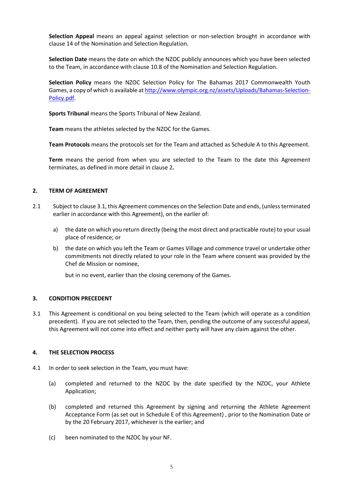**Selection Appeal** means an appeal against selection or non-selection brought in accordance with clause 14 of the Nomination and Selection Regulation.

**Selection Date** means the date on which the NZOC publicly announces which you have been selected to the Team, in accordance with clause 10.8 of the Nomination and Selection Regulation.

**Selection Policy** means the NZOC Selection Policy for The Bahamas 2017 Commonwealth Youth Games, a copy of which is available a[t http://www.olympic.org.nz/assets/Uploads/Bahamas-Selection-](http://www.olympic.org.nz/assets/Uploads/Bahamas-Selection-Policy.pdf)[Policy.pdf.](http://www.olympic.org.nz/assets/Uploads/Bahamas-Selection-Policy.pdf)

**Sports Tribunal** means the Sports Tribunal of New Zealand.

**Team** means the athletes selected by the NZOC for the Games.

**Team Protocols** means the protocols set for the Team and attached as Schedule A to this Agreement.

**Term** means the period from when you are selected to the Team to the date this Agreement terminates, as defined in more detail in clause 2**.**

# **2. TERM OF AGREEMENT**

- 2.1 Subject to clause 3.1, this Agreement commences on the Selection Date and ends, (unless terminated earlier in accordance with this Agreement), on the earlier of:
	- a) the date on which you return directly (being the most direct and practicable route) to your usual place of residence; or
	- b) the date on which you left the Team or Games Village and commence travel or undertake other commitments not directly related to your role in the Team where consent was provided by the Chef de Mission or nominee,

but in no event, earlier than the closing ceremony of the Games.

#### **3. CONDITION PRECEDENT**

3.1 This Agreement is conditional on you being selected to the Team (which will operate as a condition precedent). If you are not selected to the Team, then, pending the outcome of any successful appeal, this Agreement will not come into effect and neither party will have any claim against the other.

#### **4. THE SELECTION PROCESS**

- 4.1 In order to seek selection in the Team, you must have:
	- (a) completed and returned to the NZOC by the date specified by the NZOC, your Athlete Application;
	- (b) completed and returned this Agreement by signing and returning the Athlete Agreement Acceptance Form (as set out in Schedule E of this Agreement) , prior to the Nomination Date or by the 20 February 2017, whichever is the earlier; and
	- (c) been nominated to the NZOC by your NF.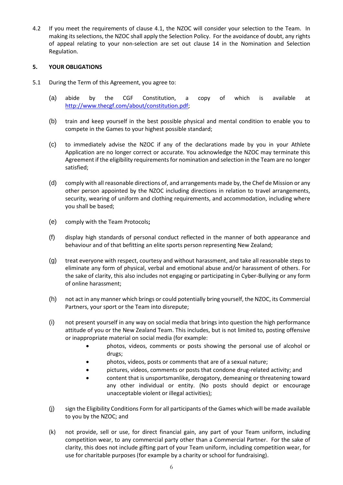4.2 If you meet the requirements of clause 4.1, the NZOC will consider your selection to the Team. In making its selections, the NZOC shall apply the Selection Policy. For the avoidance of doubt, any rights of appeal relating to your non-selection are set out clause 14 in the Nomination and Selection Regulation.

# **5. YOUR OBLIGATIONS**

- 5.1 During the Term of this Agreement, you agree to:
	- (a) abide by the CGF Constitution, a copy of which is available at [http://www.thecgf.com/about/constitution.pdf;](http://www.thecgf.com/about/constitution.pdf)
	- (b) train and keep yourself in the best possible physical and mental condition to enable you to compete in the Games to your highest possible standard;
	- (c) to immediately advise the NZOC if any of the declarations made by you in your Athlete Application are no longer correct or accurate. You acknowledge the NZOC may terminate this Agreement if the eligibility requirements for nomination and selection in the Team are no longer satisfied;
	- (d) comply with all reasonable directions of, and arrangements made by, the Chef de Mission or any other person appointed by the NZOC including directions in relation to travel arrangements, security, wearing of uniform and clothing requirements, and accommodation, including where you shall be based;
	- (e) comply with the Team Protocols**;**
	- (f) display high standards of personal conduct reflected in the manner of both appearance and behaviour and of that befitting an elite sports person representing New Zealand;
	- (g) treat everyone with respect, courtesy and without harassment, and take all reasonable steps to eliminate any form of physical, verbal and emotional abuse and/or harassment of others. For the sake of clarity, this also includes not engaging or participating in Cyber-Bullying or any form of online harassment;
	- (h) not act in any manner which brings or could potentially bring yourself, the NZOC, its Commercial Partners, your sport or the Team into disrepute;
	- (i) not present yourself in any way on social media that brings into question the high performance attitude of you or the New Zealand Team. This includes, but is not limited to, posting offensive or inappropriate material on social media (for example:
		- photos, videos, comments or posts showing the personal use of alcohol or drugs;
		- photos, videos, posts or comments that are of a sexual nature;
		- pictures, videos, comments or posts that condone drug-related activity; and
		- content that is unsportsmanlike, derogatory, demeaning or threatening toward any other individual or entity. (No posts should depict or encourage unacceptable violent or illegal activities);
	- (j) sign the Eligibility Conditions Form for all participants of the Games which will be made available to you by the NZOC; and
	- (k) not provide, sell or use, for direct financial gain, any part of your Team uniform, including competition wear, to any commercial party other than a Commercial Partner. For the sake of clarity, this does not include gifting part of your Team uniform, including competition wear, for use for charitable purposes (for example by a charity or school for fundraising).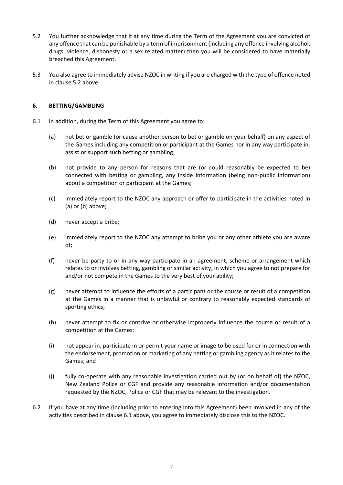- 5.2 You further acknowledge that if at any time during the Term of the Agreement you are convicted of any offence that can be punishable by a term of imprisonment (including any offence involving alcohol, drugs, violence, dishonesty or a sex related matter) then you will be considered to have materially breached this Agreement.
- 5.3 You also agree to immediately advise NZOC in writing if you are charged with the type of offence noted in clause 5.2 above.

# **6. BETTING/GAMBLING**

- 6.1 In addition, during the Term of this Agreement you agree to:
	- (a) not bet or gamble (or cause another person to bet or gamble on your behalf) on any aspect of the Games including any competition or participant at the Games nor in any way participate in, assist or support such betting or gambling;
	- (b) not provide to any person for reasons that are (or could reasonably be expected to be) connected with betting or gambling, any inside information (being non-public information) about a competition or participant at the Games;
	- (c) immediately report to the NZOC any approach or offer to participate in the activities noted in (a) or (b) above;
	- (d) never accept a bribe;
	- (e) immediately report to the NZOC any attempt to bribe you or any other athlete you are aware of;
	- (f) never be party to or in any way participate in an agreement, scheme or arrangement which relates to or involves betting, gambling or similar activity, in which you agree to not prepare for and/or not compete in the Games to the very best of your ability;
	- (g) never attempt to influence the efforts of a participant or the course or result of a competition at the Games in a manner that is unlawful or contrary to reasonably expected standards of sporting ethics;
	- (h) never attempt to fix or contrive or otherwise improperly influence the course or result of a competition at the Games;
	- (i) not appear in, participate in or permit your name or image to be used for or in connection with the endorsement, promotion or marketing of any betting or gambling agency as it relates to the Games; and
	- (j) fully co-operate with any reasonable investigation carried out by (or on behalf of) the NZOC, New Zealand Police or CGF and provide any reasonable information and/or documentation requested by the NZOC, Police or CGF that may be relevant to the investigation.
- 6.2 If you have at any time (including prior to entering into this Agreement) been involved in any of the activities described in clause 6.1 above, you agree to immediately disclose this to the NZOC.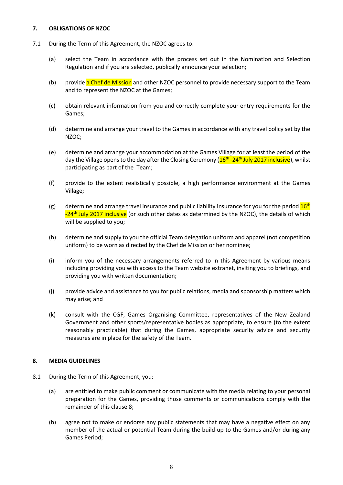# **7. OBLIGATIONS OF NZOC**

- 7.1 During the Term of this Agreement, the NZOC agrees to:
	- (a) select the Team in accordance with the process set out in the Nomination and Selection Regulation and if you are selected, publically announce your selection;
	- (b) provide a Chef de Mission and other NZOC personnel to provide necessary support to the Team and to represent the NZOC at the Games;
	- (c) obtain relevant information from you and correctly complete your entry requirements for the Games;
	- (d) determine and arrange your travel to the Games in accordance with any travel policy set by the NZOC;
	- (e) determine and arrange your accommodation at the Games Village for at least the period of the day the Village opens to the day after the Closing Ceremony (<mark>16<sup>th</sup> -24<sup>th</sup> July 2017 inclusive</mark>), whilst participating as part of the Team;
	- (f) provide to the extent realistically possible, a high performance environment at the Games Village;
	- (g) determine and arrange travel insurance and public liability insurance for you for the period  $16<sup>th</sup>$ -24<sup>th</sup> July 2017 inclusive (or such other dates as determined by the NZOC), the details of which will be supplied to you;
	- (h) determine and supply to you the official Team delegation uniform and apparel (not competition uniform) to be worn as directed by the Chef de Mission or her nominee;
	- (i) inform you of the necessary arrangements referred to in this Agreement by various means including providing you with access to the Team website extranet, inviting you to briefings, and providing you with written documentation;
	- (j) provide advice and assistance to you for public relations, media and sponsorship matters which may arise; and
	- (k) consult with the CGF, Games Organising Committee, representatives of the New Zealand Government and other sports/representative bodies as appropriate, to ensure (to the extent reasonably practicable) that during the Games, appropriate security advice and security measures are in place for the safety of the Team.

#### **8. MEDIA GUIDELINES**

- 8.1 During the Term of this Agreement, you:
	- (a) are entitled to make public comment or communicate with the media relating to your personal preparation for the Games, providing those comments or communications comply with the remainder of this clause 8;
	- (b) agree not to make or endorse any public statements that may have a negative effect on any member of the actual or potential Team during the build-up to the Games and/or during any Games Period;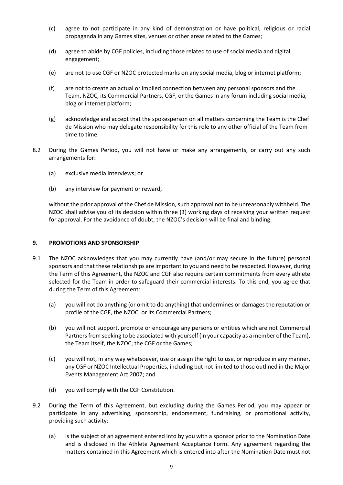- (c) agree to not participate in any kind of demonstration or have political, religious or racial propaganda in any Games sites, venues or other areas related to the Games;
- (d) agree to abide by CGF policies, including those related to use of social media and digital engagement;
- (e) are not to use CGF or NZOC protected marks on any social media, blog or internet platform;
- (f) are not to create an actual or implied connection between any personal sponsors and the Team, NZOC, its Commercial Partners, CGF, or the Games in any forum including social media, blog or internet platform;
- (g) acknowledge and accept that the spokesperson on all matters concerning the Team is the Chef de Mission who may delegate responsibility for this role to any other official of the Team from time to time.
- 8.2 During the Games Period, you will not have or make any arrangements, or carry out any such arrangements for:
	- (a) exclusive media interviews; or
	- (b) any interview for payment or reward,

without the prior approval of the Chef de Mission, such approval not to be unreasonably withheld. The NZOC shall advise you of its decision within three (3) working days of receiving your written request for approval. For the avoidance of doubt, the NZOC's decision will be final and binding.

#### **9. PROMOTIONS AND SPONSORSHIP**

- 9.1 The NZOC acknowledges that you may currently have (and/or may secure in the future) personal sponsors and that these relationships are important to you and need to be respected. However, during the Term of this Agreement, the NZOC and CGF also require certain commitments from every athlete selected for the Team in order to safeguard their commercial interests. To this end, you agree that during the Term of this Agreement:
	- (a) you will not do anything (or omit to do anything) that undermines or damages the reputation or profile of the CGF, the NZOC, or its Commercial Partners;
	- (b) you will not support, promote or encourage any persons or entities which are not Commercial Partners from seeking to be associated with yourself (in your capacity as a member of the Team), the Team itself, the NZOC, the CGF or the Games;
	- (c) you will not, in any way whatsoever, use or assign the right to use, or reproduce in any manner, any CGF or NZOC Intellectual Properties, including but not limited to those outlined in the Major Events Management Act 2007; and
	- (d) you will comply with the CGF Constitution.
- 9.2 During the Term of this Agreement, but excluding during the Games Period, you may appear or participate in any advertising, sponsorship, endorsement, fundraising, or promotional activity, providing such activity:
	- (a) is the subject of an agreement entered into by you with a sponsor prior to the Nomination Date and is disclosed in the Athlete Agreement Acceptance Form. Any agreement regarding the matters contained in this Agreement which is entered into after the Nomination Date must not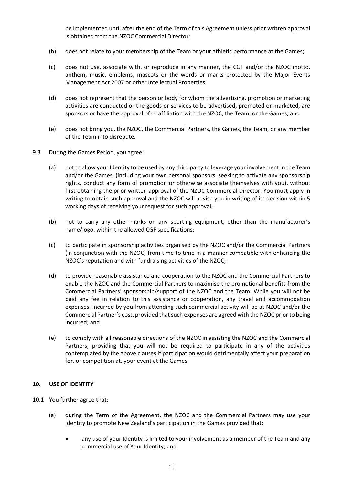be implemented until after the end of the Term of this Agreement unless prior written approval is obtained from the NZOC Commercial Director;

- (b) does not relate to your membership of the Team or your athletic performance at the Games;
- (c) does not use, associate with, or reproduce in any manner, the CGF and/or the NZOC motto, anthem, music, emblems, mascots or the words or marks protected by the Major Events Management Act 2007 or other Intellectual Properties;
- (d) does not represent that the person or body for whom the advertising, promotion or marketing activities are conducted or the goods or services to be advertised, promoted or marketed, are sponsors or have the approval of or affiliation with the NZOC, the Team, or the Games; and
- (e) does not bring you, the NZOC, the Commercial Partners, the Games, the Team, or any member of the Team into disrepute.
- 9.3 During the Games Period, you agree:
	- (a) not to allow your Identity to be used by any third party to leverage your involvement in the Team and/or the Games, (including your own personal sponsors, seeking to activate any sponsorship rights, conduct any form of promotion or otherwise associate themselves with you), without first obtaining the prior written approval of the NZOC Commercial Director. You must apply in writing to obtain such approval and the NZOC will advise you in writing of its decision within 5 working days of receiving your request for such approval;
	- (b) not to carry any other marks on any sporting equipment, other than the manufacturer's name/logo, within the allowed CGF specifications;
	- (c) to participate in sponsorship activities organised by the NZOC and/or the Commercial Partners (in conjunction with the NZOC) from time to time in a manner compatible with enhancing the NZOC's reputation and with fundraising activities of the NZOC;
	- (d) to provide reasonable assistance and cooperation to the NZOC and the Commercial Partners to enable the NZOC and the Commercial Partners to maximise the promotional benefits from the Commercial Partners' sponsorship/support of the NZOC and the Team. While you will not be paid any fee in relation to this assistance or cooperation, any travel and accommodation expenses incurred by you from attending such commercial activity will be at NZOC and/or the Commercial Partner's cost, provided that such expenses are agreed with the NZOC prior to being incurred; and
	- (e) to comply with all reasonable directions of the NZOC in assisting the NZOC and the Commercial Partners, providing that you will not be required to participate in any of the activities contemplated by the above clauses if participation would detrimentally affect your preparation for, or competition at, your event at the Games.

#### **10. USE OF IDENTITY**

- 10.1 You further agree that:
	- (a) during the Term of the Agreement, the NZOC and the Commercial Partners may use your Identity to promote New Zealand's participation in the Games provided that:
		- any use of your Identity is limited to your involvement as a member of the Team and any commercial use of Your Identity; and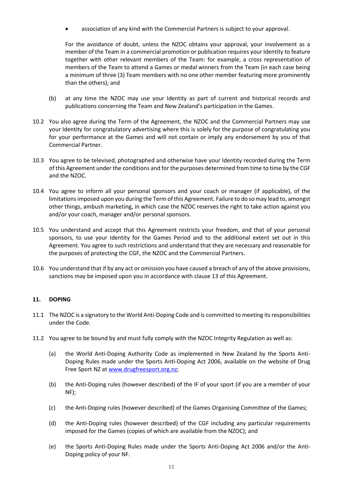• association of any kind with the Commercial Partners is subject to your approval.

For the avoidance of doubt, unless the NZOC obtains your approval, your involvement as a member of the Team in a commercial promotion or publication requires your Identity to feature together with other relevant members of the Team: for example, a cross representation of members of the Team to attend a Games or medal winners from the Team (in each case being a minimum of three (3) Team members with no one other member featuring more prominently than the others); and

- (b) at any time the NZOC may use your Identity as part of current and historical records and publications concerning the Team and New Zealand's participation in the Games.
- 10.2 You also agree during the Term of the Agreement, the NZOC and the Commercial Partners may use your Identity for congratulatory advertising where this is solely for the purpose of congratulating you for your performance at the Games and will not contain or imply any endorsement by you of that Commercial Partner.
- 10.3 You agree to be televised, photographed and otherwise have your Identity recorded during the Term of this Agreement under the conditions and for the purposes determined from time to time by the CGF and the NZOC.
- 10.4 You agree to inform all your personal sponsors and your coach or manager (if applicable), of the limitations imposed upon you during the Term of this Agreement. Failure to do so may lead to, amongst other things, ambush marketing, in which case the NZOC reserves the right to take action against you and/or your coach, manager and/or personal sponsors.
- 10.5 You understand and accept that this Agreement restricts your freedom, and that of your personal sponsors, to use your Identity for the Games Period and to the additional extent set out in this Agreement. You agree to such restrictions and understand that they are necessary and reasonable for the purposes of protecting the CGF, the NZOC and the Commercial Partners.
- 10.6 You understand that if by any act or omission you have caused a breach of any of the above provisions, sanctions may be imposed upon you in accordance with clause 13 of this Agreement.

# **11. DOPING**

- 11.1 The NZOC is a signatory to the World Anti-Doping Code and is committed to meeting its responsibilities under the Code.
- 11.2 You agree to be bound by and must fully comply with the NZOC Integrity Regulation as well as:
	- (a) the World Anti-Doping Authority Code as implemented in New Zealand by the Sports Anti-Doping Rules made under the Sports Anti-Doping Act 2006, available on the website of Drug Free Sport NZ a[t www.drugfreesport.org.nz;](http://www.drugfreesport.org.nz/)
	- (b) the Anti-Doping rules (however described) of the IF of your sport (if you are a member of your NF);
	- (c) the Anti-Doping rules (however described) of the Games Organising Committee of the Games;
	- (d) the Anti-Doping rules (however described) of the CGF including any particular requirements imposed for the Games (copies of which are available from the NZOC); and
	- (e) the Sports Anti-Doping Rules made under the Sports Anti-Doping Act 2006 and/or the Anti-Doping policy of your NF.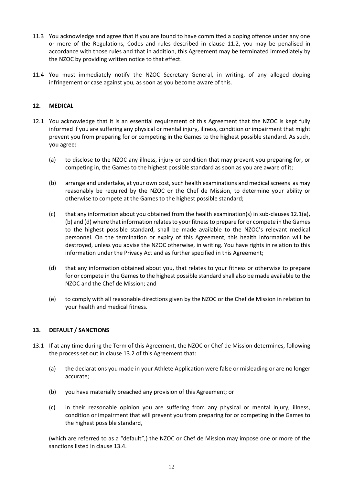- 11.3 You acknowledge and agree that if you are found to have committed a doping offence under any one or more of the Regulations, Codes and rules described in clause 11.2, you may be penalised in accordance with those rules and that in addition, this Agreement may be terminated immediately by the NZOC by providing written notice to that effect.
- 11.4 You must immediately notify the NZOC Secretary General, in writing, of any alleged doping infringement or case against you, as soon as you become aware of this.

# **12. MEDICAL**

- 12.1 You acknowledge that it is an essential requirement of this Agreement that the NZOC is kept fully informed if you are suffering any physical or mental injury, illness, condition or impairment that might prevent you from preparing for or competing in the Games to the highest possible standard. As such, you agree:
	- (a) to disclose to the NZOC any illness, injury or condition that may prevent you preparing for, or competing in, the Games to the highest possible standard as soon as you are aware of it;
	- (b) arrange and undertake, at your own cost, such health examinations and medical screens as may reasonably be required by the NZOC or the Chef de Mission, to determine your ability or otherwise to compete at the Games to the highest possible standard;
	- (c) that any information about you obtained from the health examination(s) in sub-clauses 12.1(a), (b) and (d) where that information relates to your fitness to prepare for or compete in the Games to the highest possible standard, shall be made available to the NZOC's relevant medical personnel. On the termination or expiry of this Agreement, this health information will be destroyed, unless you advise the NZOC otherwise, in writing. You have rights in relation to this information under the Privacy Act and as further specified in this Agreement;
	- (d) that any information obtained about you, that relates to your fitness or otherwise to prepare for or compete in the Games to the highest possible standard shall also be made available to the NZOC and the Chef de Mission; and
	- (e) to comply with all reasonable directions given by the NZOC or the Chef de Mission in relation to your health and medical fitness.

#### **13. DEFAULT / SANCTIONS**

- 13.1 If at any time during the Term of this Agreement, the NZOC or Chef de Mission determines, following the process set out in clause 13.2 of this Agreement that:
	- (a) the declarations you made in your Athlete Application were false or misleading or are no longer accurate;
	- (b) you have materially breached any provision of this Agreement; or
	- (c) in their reasonable opinion you are suffering from any physical or mental injury, illness, condition or impairment that will prevent you from preparing for or competing in the Games to the highest possible standard,

(which are referred to as a "default",) the NZOC or Chef de Mission may impose one or more of the sanctions listed in clause 13.4.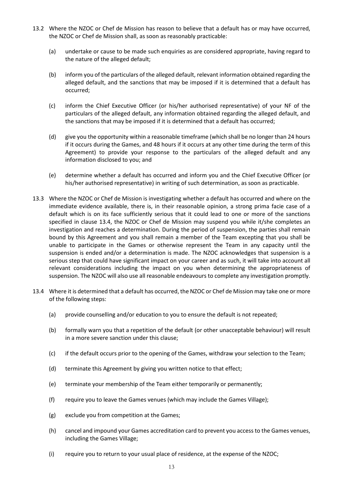- 13.2 Where the NZOC or Chef de Mission has reason to believe that a default has or may have occurred, the NZOC or Chef de Mission shall, as soon as reasonably practicable:
	- (a) undertake or cause to be made such enquiries as are considered appropriate, having regard to the nature of the alleged default;
	- (b) inform you of the particulars of the alleged default, relevant information obtained regarding the alleged default, and the sanctions that may be imposed if it is determined that a default has occurred;
	- (c) inform the Chief Executive Officer (or his/her authorised representative) of your NF of the particulars of the alleged default, any information obtained regarding the alleged default, and the sanctions that may be imposed if it is determined that a default has occurred;
	- (d) give you the opportunity within a reasonable timeframe (which shall be no longer than 24 hours if it occurs during the Games, and 48 hours if it occurs at any other time during the term of this Agreement) to provide your response to the particulars of the alleged default and any information disclosed to you; and
	- (e) determine whether a default has occurred and inform you and the Chief Executive Officer (or his/her authorised representative) in writing of such determination, as soon as practicable.
- 13.3 Where the NZOC or Chef de Mission is investigating whether a default has occurred and where on the immediate evidence available, there is, in their reasonable opinion, a strong prima facie case of a default which is on its face sufficiently serious that it could lead to one or more of the sanctions specified in clause 13.4, the NZOC or Chef de Mission may suspend you while it/she completes an investigation and reaches a determination. During the period of suspension, the parties shall remain bound by this Agreement and you shall remain a member of the Team excepting that you shall be unable to participate in the Games or otherwise represent the Team in any capacity until the suspension is ended and/or a determination is made. The NZOC acknowledges that suspension is a serious step that could have significant impact on your career and as such, it will take into account all relevant considerations including the impact on you when determining the appropriateness of suspension. The NZOC will also use all reasonable endeavours to complete any investigation promptly.
- 13.4 Where it is determined that a default has occurred, the NZOC or Chef de Mission may take one or more of the following steps:
	- (a) provide counselling and/or education to you to ensure the default is not repeated;
	- (b) formally warn you that a repetition of the default (or other unacceptable behaviour) will result in a more severe sanction under this clause;
	- (c) if the default occurs prior to the opening of the Games, withdraw your selection to the Team;
	- (d) terminate this Agreement by giving you written notice to that effect;
	- (e) terminate your membership of the Team either temporarily or permanently;
	- (f) require you to leave the Games venues (which may include the Games Village);
	- (g) exclude you from competition at the Games;
	- (h) cancel and impound your Games accreditation card to prevent you access to the Games venues, including the Games Village;
	- (i) require you to return to your usual place of residence, at the expense of the NZOC;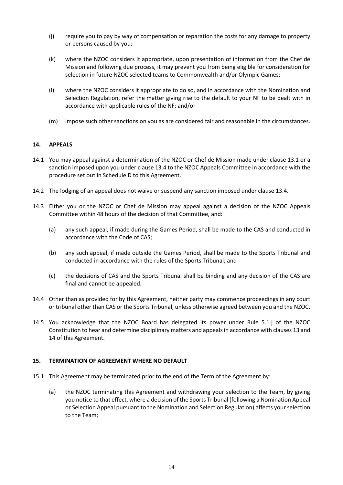- (j) require you to pay by way of compensation or reparation the costs for any damage to property or persons caused by you;
- (k) where the NZOC considers it appropriate, upon presentation of information from the Chef de Mission and following due process, it may prevent you from being eligible for consideration for selection in future NZOC selected teams to Commonwealth and/or Olympic Games;
- (l) where the NZOC considers it appropriate to do so, and in accordance with the Nomination and Selection Regulation, refer the matter giving rise to the default to your NF to be dealt with in accordance with applicable rules of the NF; and/or
- (m) impose such other sanctions on you as are considered fair and reasonable in the circumstances.

# **14. APPEALS**

- 14.1 You may appeal against a determination of the NZOC or Chef de Mission made under clause 13.1 or a sanction imposed upon you under clause 13.4 to the NZOC Appeals Committee in accordance with the procedure set out in Schedule D to this Agreement.
- 14.2 The lodging of an appeal does not waive or suspend any sanction imposed under clause 13.4.
- 14.3 Either you or the NZOC or Chef de Mission may appeal against a decision of the NZOC Appeals Committee within 48 hours of the decision of that Committee, and:
	- (a) any such appeal, if made during the Games Period, shall be made to the CAS and conducted in accordance with the Code of CAS;
	- (b) any such appeal, if made outside the Games Period, shall be made to the Sports Tribunal and conducted in accordance with the rules of the Sports Tribunal; and
	- (c) the decisions of CAS and the Sports Tribunal shall be binding and any decision of the CAS are final and cannot be appealed.
- 14.4 Other than as provided for by this Agreement, neither party may commence proceedings in any court or tribunal other than CAS or the Sports Tribunal, unless otherwise agreed between you and the NZOC.
- 14.5 You acknowledge that the NZOC Board has delegated its power under Rule 5.1.j of the NZOC Constitution to hear and determine disciplinary matters and appeals in accordance with clauses 13 and 14 of this Agreement.

# **15. TERMINATION OF AGREEMENT WHERE NO DEFAULT**

- 15.1 This Agreement may be terminated prior to the end of the Term of the Agreement by:
	- (a) the NZOC terminating this Agreement and withdrawing your selection to the Team, by giving you notice to that effect, where a decision of the Sports Tribunal (following a Nomination Appeal or Selection Appeal pursuant to the Nomination and Selection Regulation) affects your selection to the Team;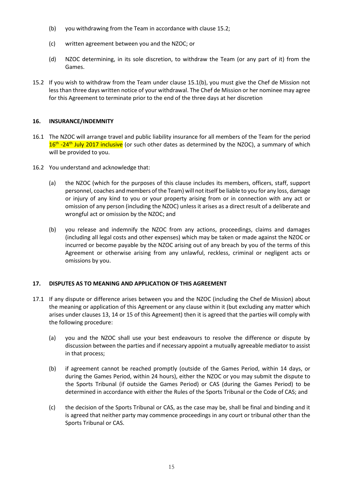- (b) you withdrawing from the Team in accordance with clause 15.2;
- (c) written agreement between you and the NZOC; or
- (d) NZOC determining, in its sole discretion, to withdraw the Team (or any part of it) from the Games.
- 15.2 If you wish to withdraw from the Team under clause 15.1(b), you must give the Chef de Mission not less than three days written notice of your withdrawal. The Chef de Mission or her nominee may agree for this Agreement to terminate prior to the end of the three days at her discretion

#### **16. INSURANCE/INDEMNITY**

- 16.1 The NZOC will arrange travel and public liability insurance for all members of the Team for the period 16<sup>th</sup> -24<sup>th</sup> July 2017 inclusive (or such other dates as determined by the NZOC), a summary of which will be provided to you.
- 16.2 You understand and acknowledge that:
	- (a) the NZOC (which for the purposes of this clause includes its members, officers, staff, support personnel, coaches and members of the Team) will not itself be liable to you for any loss, damage or injury of any kind to you or your property arising from or in connection with any act or omission of any person (including the NZOC) unless it arises as a direct result of a deliberate and wrongful act or omission by the NZOC; and
	- (b) you release and indemnify the NZOC from any actions, proceedings, claims and damages (including all legal costs and other expenses) which may be taken or made against the NZOC or incurred or become payable by the NZOC arising out of any breach by you of the terms of this Agreement or otherwise arising from any unlawful, reckless, criminal or negligent acts or omissions by you.

# **17. DISPUTES AS TO MEANING AND APPLICATION OF THIS AGREEMENT**

- 17.1 If any dispute or difference arises between you and the NZOC (including the Chef de Mission) about the meaning or application of this Agreement or any clause within it (but excluding any matter which arises under clauses 13, 14 or 15 of this Agreement) then it is agreed that the parties will comply with the following procedure:
	- (a) you and the NZOC shall use your best endeavours to resolve the difference or dispute by discussion between the parties and if necessary appoint a mutually agreeable mediator to assist in that process;
	- (b) if agreement cannot be reached promptly (outside of the Games Period, within 14 days, or during the Games Period, within 24 hours), either the NZOC or you may submit the dispute to the Sports Tribunal (if outside the Games Period) or CAS (during the Games Period) to be determined in accordance with either the Rules of the Sports Tribunal or the Code of CAS; and
	- (c) the decision of the Sports Tribunal or CAS, as the case may be, shall be final and binding and it is agreed that neither party may commence proceedings in any court or tribunal other than the Sports Tribunal or CAS.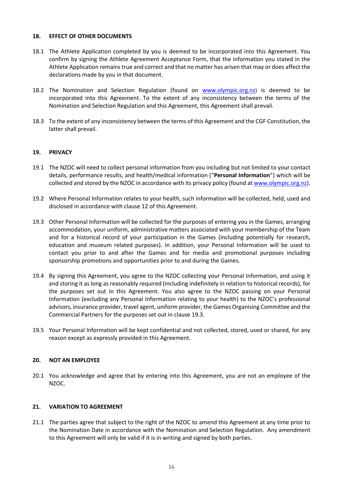#### **18. EFFECT OF OTHER DOCUMENTS**

- 18.1 The Athlete Application completed by you is deemed to be incorporated into this Agreement. You confirm by signing the Athlete Agreement Acceptance Form, that the information you stated in the Athlete Application remains true and correct and that no matter has arisen that may or does affect the declarations made by you in that document.
- 18.2 The Nomination and Selection Regulation (found on [www.olympic.org.nz](http://www.olympic.org.nz/)) is deemed to be incorporated into this Agreement. To the extent of any inconsistency between the terms of the Nomination and Selection Regulation and this Agreement, this Agreement shall prevail.
- 18.3 To the extent of any inconsistency between the terms of this Agreement and the CGF Constitution, the latter shall prevail.

# **19. PRIVACY**

- 19.1 The NZOC will need to collect personal information from you including but not limited to your contact details, performance results, and health/medical information ("**Personal Information**") which will be collected and stored by the NZOC in accordance with its privacy policy (found a[t www.olympic.org.nz\)](http://www.olympic.org.nz/).
- 19.2 Where Personal Information relates to your health, such information will be collected, held, used and disclosed in accordance with clause 12 of this Agreement.
- 19.3 Other Personal Information will be collected for the purposes of entering you in the Games, arranging accommodation, your uniform, administrative matters associated with your membership of the Team and for a historical record of your participation in the Games (including potentially for research, education and museum related purposes). In addition, your Personal Information will be used to contact you prior to and after the Games and for media and promotional purposes including sponsorship promotions and opportunities prior to and during the Games.
- 19.4 By signing this Agreement, you agree to the NZOC collecting your Personal Information, and using it and storing it as long as reasonably required (including indefinitely in relation to historical records), for the purposes set out in this Agreement. You also agree to the NZOC passing on your Personal Information (excluding any Personal Information relating to your health) to the NZOC's professional advisors, insurance provider, travel agent, uniform provider, the Games Organising Committee and the Commercial Partners for the purposes set out in clause 19.3.
- 19.5 Your Personal Information will be kept confidential and not collected, stored, used or shared, for any reason except as expressly provided in this Agreement.

#### **20. NOT AN EMPLOYEE**

20.1 You acknowledge and agree that by entering into this Agreement, you are not an employee of the NZOC.

#### **21. VARIATION TO AGREEMENT**

21.1 The parties agree that subject to the right of the NZOC to amend this Agreement at any time prior to the Nomination Date in accordance with the Nomination and Selection Regulation. Any amendment to this Agreement will only be valid if it is in writing and signed by both parties.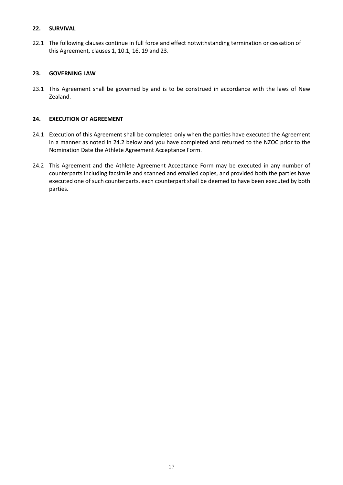# **22. SURVIVAL**

22.1 The following clauses continue in full force and effect notwithstanding termination or cessation of this Agreement, clauses 1, 10.1, 16, 19 and 23.

# **23. GOVERNING LAW**

23.1 This Agreement shall be governed by and is to be construed in accordance with the laws of New Zealand.

# **24. EXECUTION OF AGREEMENT**

- 24.1 Execution of this Agreement shall be completed only when the parties have executed the Agreement in a manner as noted in 24.2 below and you have completed and returned to the NZOC prior to the Nomination Date the Athlete Agreement Acceptance Form.
- 24.2 This Agreement and the Athlete Agreement Acceptance Form may be executed in any number of counterparts including facsimile and scanned and emailed copies, and provided both the parties have executed one of such counterparts, each counterpart shall be deemed to have been executed by both parties.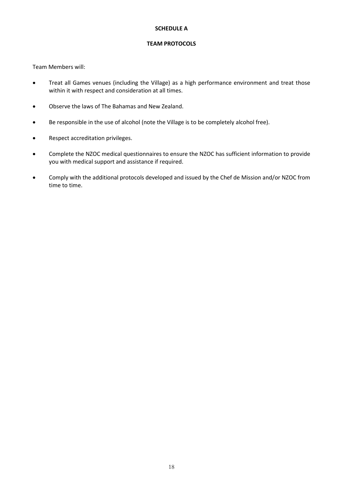# **SCHEDULE A**

#### **TEAM PROTOCOLS**

Team Members will:

- Treat all Games venues (including the Village) as a high performance environment and treat those within it with respect and consideration at all times.
- Observe the laws of The Bahamas and New Zealand.
- Be responsible in the use of alcohol (note the Village is to be completely alcohol free).
- Respect accreditation privileges.
- Complete the NZOC medical questionnaires to ensure the NZOC has sufficient information to provide you with medical support and assistance if required.
- Comply with the additional protocols developed and issued by the Chef de Mission and/or NZOC from time to time.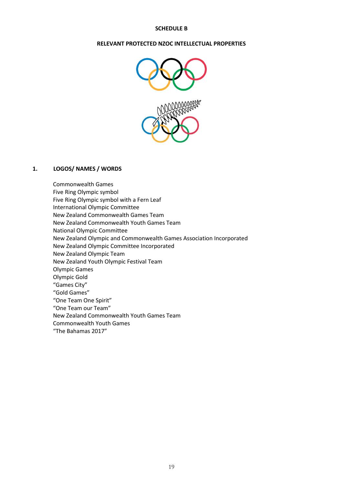# **SCHEDULE B**

#### **RELEVANT PROTECTED NZOC INTELLECTUAL PROPERTIES**



# **1. LOGOS/ NAMES / WORDS**

Commonwealth Games Five Ring Olympic symbol Five Ring Olympic symbol with a Fern Leaf International Olympic Committee New Zealand Commonwealth Games Team New Zealand Commonwealth Youth Games Team National Olympic Committee New Zealand Olympic and Commonwealth Games Association Incorporated New Zealand Olympic Committee Incorporated New Zealand Olympic Team New Zealand Youth Olympic Festival Team Olympic Games Olympic Gold "Games City" "Gold Games" "One Team One Spirit" "One Team our Team" New Zealand Commonwealth Youth Games Team Commonwealth Youth Games "The Bahamas 2017"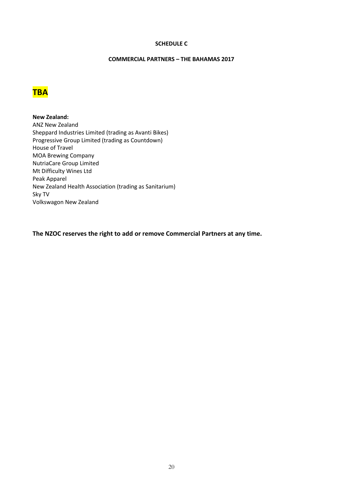## **SCHEDULE C**

## **COMMERCIAL PARTNERS – THE BAHAMAS 2017**



**New Zealand:** ANZ New Zealand Sheppard Industries Limited (trading as Avanti Bikes) Progressive Group Limited (trading as Countdown) House of Travel MOA Brewing Company NutriaCare Group Limited Mt Difficulty Wines Ltd Peak Apparel New Zealand Health Association (trading as Sanitarium) Sky TV Volkswagon New Zealand

**The NZOC reserves the right to add or remove Commercial Partners at any time.**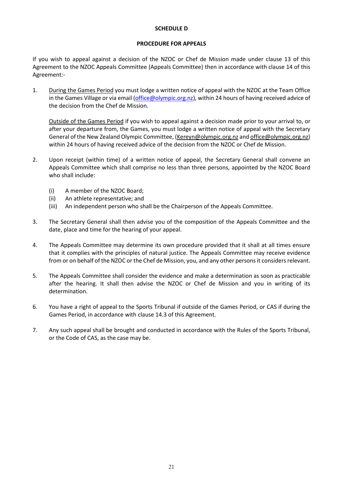#### **SCHEDULE D**

#### **PROCEDURE FOR APPEALS**

If you wish to appeal against a decision of the NZOC or Chef de Mission made under clause 13 of this Agreement to the NZOC Appeals Committee (Appeals Committee) then in accordance with clause 14 of this Agreement:-

1. During the Games Period you must lodge a written notice of appeal with the NZOC at the Team Office in the Games Village or via email [\(office@olympic.org.nz\)](mailto:office@olympic.org.nz), within 24 hours of having received advice of the decision from the Chef de Mission.

Outside of the Games Period if you wish to appeal against a decision made prior to your arrival to, or after your departure from, the Games, you must lodge a written notice of appeal with the Secretary General of the New Zealand Olympic Committee, [\(Kereyn@olympic.org.nz](mailto:Kereyn@olympic.org.nz) an[d office@olympic.org.nz\)](mailto:office@olympic.org.nz) within 24 hours of having received advice of the decision from the NZOC or Chef de Mission.

- 2. Upon receipt (within time) of a written notice of appeal, the Secretary General shall convene an Appeals Committee which shall comprise no less than three persons, appointed by the NZOC Board who shall include:
	- (i) A member of the NZOC Board;
	- (ii) An athlete representative; and
	- (iii) An independent person who shall be the Chairperson of the Appeals Committee.
- 3. The Secretary General shall then advise you of the composition of the Appeals Committee and the date, place and time for the hearing of your appeal.
- 4. The Appeals Committee may determine its own procedure provided that it shall at all times ensure that it complies with the principles of natural justice. The Appeals Committee may receive evidence from or on behalf of the NZOC or the Chef de Mission, you, and any other persons it considers relevant.
- 5. The Appeals Committee shall consider the evidence and make a determination as soon as practicable after the hearing. It shall then advise the NZOC or Chef de Mission and you in writing of its determination.
- 6. You have a right of appeal to the Sports Tribunal if outside of the Games Period, or CAS if during the Games Period, in accordance with clause 14.3 of this Agreement.
- 7. Any such appeal shall be brought and conducted in accordance with the Rules of the Sports Tribunal, or the Code of CAS, as the case may be.